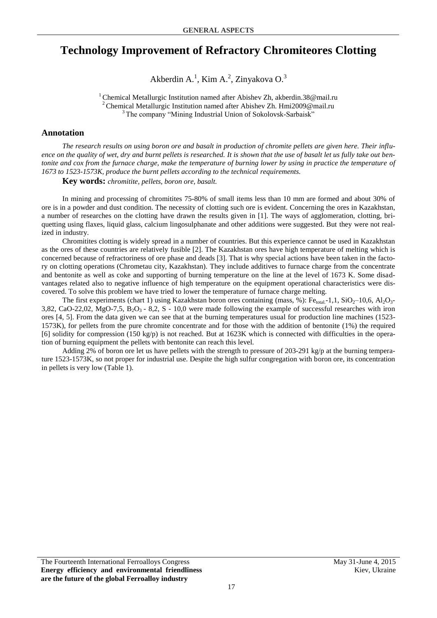## **Technology Improvement of Refractory Chromiteores Clotting**

Akberdin A.<sup>1</sup>, Kim A.<sup>2</sup>, Zinyakova O.<sup>3</sup>

<sup>1</sup> Chemical Metallurgic Institution named after Abishev Zh, akberdin.38@mail.ru <sup>2</sup> Chemical Metallurgic Institution named after Abishev Zh. Hmi2009@mail.ru <sup>3</sup> The company "Mining Industrial Union of Sokolovsk-Sarbaisk"

## **Annotation**

*The research results on using boron ore and basalt in production of chromite pellets are given here. Their influence on the quality of wet, dry and burnt pellets is researched. It is shown that the use of basalt let us fully take out bentonite and cox from the furnace charge, make the temperature of burning lower by using in practice the temperature of 1673 to 1523-1573K, produce the burnt pellets according to the technical requirements.* 

**Key words:** *chromitite, pellets, boron ore, basalt.* 

In mining and processing of chromitites 75-80% of small items less than 10 mm are formed and about 30% of ore is in a powder and dust condition. The necessity of clotting such ore is evident. Concerning the ores in Kazakhstan, a number of researches on the clotting have drawn the results given in [1]. The ways of agglomeration, clotting, briquetting using flaxes, liquid glass, calcium lingosulphanate and other additions were suggested. But they were not realized in industry.

Chromitites clotting is widely spread in a number of countries. But this experience cannot be used in Kazakhstan as the ores of these countries are relatively fusible [2]. The Kazakhstan ores have high temperature of melting which is concerned because of refractoriness of ore phase and deads [3]. That is why special actions have been taken in the factory on clotting operations (Chrometau city, Kazakhstan). They include additives to furnace charge from the concentrate and bentonite as well as coke and supporting of burning temperature on the line at the level of 1673 K. Some disadvantages related also to negative influence of high temperature on the equipment operational characteristics were discovered. To solve this problem we have tried to lower the temperature of furnace charge melting.

The first experiments (chart 1) using Kazakhstan boron ores containing (mass, %):  $Fe_{\text{total}}$ -1,1, SiO<sub>2</sub>–10,6, Al<sub>2</sub>O<sub>3</sub>-3,82, CaO-22,02, MgO-7,5,  $B_2O_3 - 8,2$ , S - 10,0 were made following the example of successful researches with iron ores [4, 5]. From the data given we can see that at the burning temperatures usual for production line machines (1523- 1573K), for pellets from the pure chromite concentrate and for those with the addition of bentonite (1%) the required [6] solidity for compression (150 kg/p) is not reached. But at  $1623K$  which is connected with difficulties in the operation of burning equipment the pellets with bentonite can reach this level.

Adding 2% of boron ore let us have pellets with the strength to pressure of 203-291 kg/p at the burning temperature 1523-1573K, so not proper for industrial use. Despite the high sulfur congregation with boron ore, its concentration in pellets is very low (Table 1).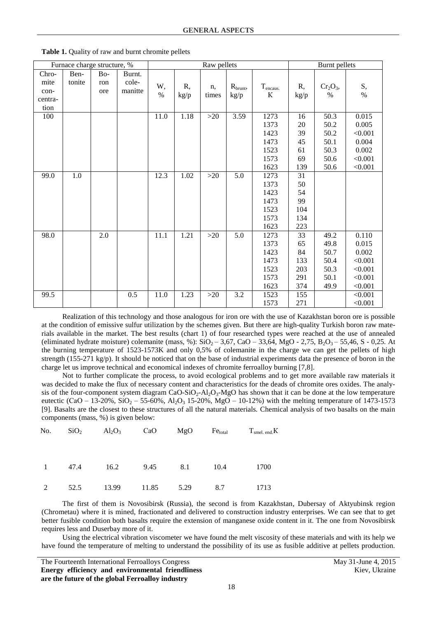| Furnace charge structure, % |         |                  |         | Raw pellets |      |             |             | <b>Burnt</b> pellets      |      |                   |            |
|-----------------------------|---------|------------------|---------|-------------|------|-------------|-------------|---------------------------|------|-------------------|------------|
| Chro-                       | Ben-    | B <sub>o</sub> - | Burnt.  |             |      |             |             |                           |      |                   |            |
| mite                        | tonite  | ron              | cole-   | W,          | R,   |             |             |                           | R,   |                   |            |
| con-                        |         | ore              | manitte | $\%$        |      | n,<br>times | $R_{brunt}$ | $T_{\text{encaus.}}$<br>К |      | $Cr2O3$ ,<br>$\%$ | S,<br>$\%$ |
| centra-                     |         |                  |         |             | kg/p |             | kg/p        |                           | kg/p |                   |            |
| tion                        |         |                  |         |             |      |             |             |                           |      |                   |            |
| 100                         |         |                  |         | 11.0        | 1.18 | $>20$       | 3.59        | 1273                      | 16   | 50.3              | 0.015      |
|                             |         |                  |         |             |      |             |             | 1373                      | 20   | 50.2              | 0.005      |
|                             |         |                  |         |             |      |             |             | 1423                      | 39   | 50.2              | < 0.001    |
|                             |         |                  |         |             |      |             |             | 1473                      | 45   | 50.1              | 0.004      |
|                             |         |                  |         |             |      |             |             | 1523                      | 61   | 50.3              | 0.002      |
|                             |         |                  |         |             |      |             |             | 1573                      | 69   | 50.6              | < 0.001    |
|                             |         |                  |         |             |      |             |             | 1623                      | 139  | 50.6              | < 0.001    |
| 99.0                        | $1.0\,$ |                  |         | 12.3        | 1.02 | $>20$       | 5.0         | 1273                      | 31   |                   |            |
|                             |         |                  |         |             |      |             |             | 1373                      | 50   |                   |            |
|                             |         |                  |         |             |      |             |             | 1423                      | 54   |                   |            |
|                             |         |                  |         |             |      |             |             | 1473                      | 99   |                   |            |
|                             |         |                  |         |             |      |             |             | 1523                      | 104  |                   |            |
|                             |         |                  |         |             |      |             |             | 1573                      | 134  |                   |            |
|                             |         |                  |         |             |      |             |             | 1623                      | 223  |                   |            |
| 98.0                        |         | 2.0              |         | 11.1        | 1.21 | $>20$       | 5.0         | 1273                      | 33   | 49.2              | 0.110      |
|                             |         |                  |         |             |      |             |             | 1373                      | 65   | 49.8              | 0.015      |
|                             |         |                  |         |             |      |             |             | 1423                      | 84   | 50.7              | 0.002      |
|                             |         |                  |         |             |      |             |             | 1473                      | 133  | 50.4              | < 0.001    |
|                             |         |                  |         |             |      |             |             | 1523                      | 203  | 50.3              | < 0.001    |
|                             |         |                  |         |             |      |             |             | 1573                      | 291  | 50.1              | < 0.001    |
|                             |         |                  |         |             |      |             |             | 1623                      | 374  | 49.9              | < 0.001    |
| 99.5                        |         |                  | 0.5     | 11.0        | 1.23 | $>20$       | 3.2         | 1523                      | 155  |                   | < 0.001    |
|                             |         |                  |         |             |      |             |             | 1573                      | 271  |                   | < 0.001    |

**Table 1.** Quality of raw and burnt chromite pellets

Realization of this technology and those analogous for iron ore with the use of Kazakhstan boron ore is possible at the condition of emissive sulfur utilization by the schemes given. But there are high-quality Turkish boron raw materials available in the market. The best results (chart 1) of four researched types were reached at the use of annealed (eliminated hydrate moisture) colemanite (mass, %):  $SiO_2 - 3.67$ , CaO – 33.64, MgO - 2.75, B<sub>2</sub>O<sub>3</sub> – 55.46, S - 0.25. At the burning temperature of 1523-1573K and only 0,5% of colemanite in the charge we can get the pellets of high strength (155-271 kg/p). It should be noticed that on the base of industrial experiments data the presence of boron in the charge let us improve technical and economical indexes of chromite ferroalloy burning [7,8].

Not to further complicate the process, to avoid ecological problems and to get more available raw materials it was decided to make the flux of necessary content and characteristics for the deads of chromite ores oxides. The analysis of the four-component system diagram CaO-SiO<sub>2</sub>-Al<sub>2</sub>O<sub>3</sub>-MgO has shown that it can be done at the low temperature eutectic (CaO – 13-20%, SiO<sub>2</sub> – 55-60%, Al<sub>2</sub>O<sub>3</sub> 15-20%, MgO – 10-12%) with the melting temperature of 1473-1573 [9]. Basalts are the closest to these structures of all the natural materials. Chemical analysis of two basalts on the main components (mass, %) is given below:

| No.            | SiO <sub>2</sub> | $Al_2O_3$ | CaO   | MgO  | Fe <sub>total</sub> | T <sub>smel. end.</sub> K |
|----------------|------------------|-----------|-------|------|---------------------|---------------------------|
| $\overline{1}$ | 47.4             | 16.2      | 9.45  | 8.1  | 10.4                | 1700                      |
| 2              | 52.5             | 13.99     | 11.85 | 5.29 | 8.7                 | 1713                      |

The first of them is Novosibirsk (Russia), the second is from Kazakhstan, Dubersay of Aktyubinsk region (Chrometau) where it is mined, fractionated and delivered to construction industry enterprises. We can see that to get better fusible condition both basalts require the extension of manganese oxide content in it. The one from Novosibirsk requires less and Duserbay more of it.

Using the electrical vibration viscometer we have found the melt viscosity of these materials and with its help we have found the temperature of melting to understand the possibility of its use as fusible additive at pellets production.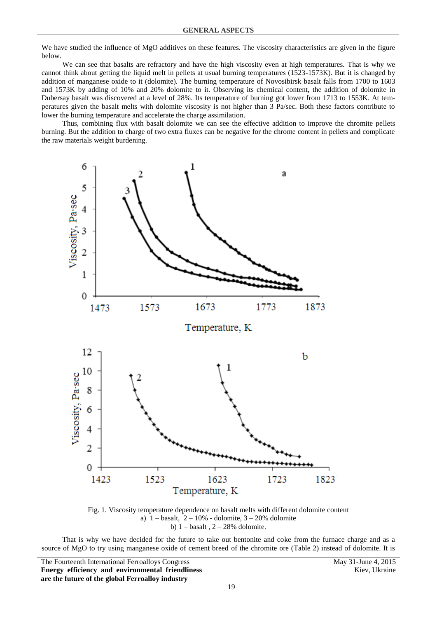We have studied the influence of MgO additives on these features. The viscosity characteristics are given in the figure below.

We can see that basalts are refractory and have the high viscosity even at high temperatures. That is why we cannot think about getting the liquid melt in pellets at usual burning temperatures (1523-1573K). But it is changed by addition of manganese oxide to it (dolomite). The burning temperature of Novosibirsk basalt falls from 1700 to 1603 and 1573K by adding of 10% and 20% dolomite to it. Observing its chemical content, the addition of dolomite in Dubersay basalt was discovered at a level of 28%. Its temperature of burning got lower from 1713 to 1553K. At temperatures given the basalt melts with dolomite viscosity is not higher than 3 Pa/sec. Both these factors contribute to lower the burning temperature and accelerate the charge assimilation.

Thus, combining flux with basalt dolomite we can see the effective addition to improve the chromite pellets burning. But the addition to charge of two extra fluxes can be negative for the chrome content in pellets and complicate the raw materials weight burdening.



Fig. 1. Viscosity temperature dependence on basalt melts with different dolomite content a)  $1 -$ basalt,  $2 - 10%$  - dolomite,  $3 - 20%$  dolomite b)  $1 -$ basalt,  $2 - 28%$  dolomite.

That is why we have decided for the future to take out bentonite and coke from the furnace charge and as a source of MgO to try using manganese oxide of cement breed of the chromite ore (Table 2) instead of dolomite. It is

The Fourteenth International Ferroalloys Congress May 31-June 4, 2015 **Energy efficiency and environmental friendliness are the future of the global Ferroalloy industry**

Kiev, Ukraine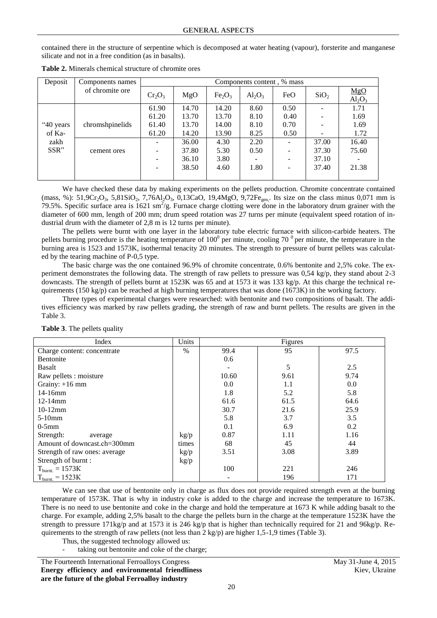contained there in the structure of serpentine which is decomposed at water heating (vapour), forsterite and manganese silicate and not in a free condition (as in basalts).

| Deposit                             | Components names | Components content, % mass |       |                                |           |      |                          |                  |  |
|-------------------------------------|------------------|----------------------------|-------|--------------------------------|-----------|------|--------------------------|------------------|--|
|                                     | of chromite ore  | $Cr_2O_3$                  | MgO   | Fe <sub>2</sub> O <sub>3</sub> | $Al_2O_3$ | FeO  | SiO <sub>2</sub>         | MgO<br>$Al_2O_3$ |  |
|                                     |                  | 61.90                      | 14.70 | 14.20                          | 8.60      | 0.50 | $\overline{\phantom{a}}$ | 1.71             |  |
|                                     |                  | 61.20                      | 13.70 | 13.70                          | 8.10      | 0.40 | $\overline{\phantom{a}}$ | 1.69             |  |
| "40 years<br>of Ka-<br>zakh<br>SSR" | chromshpinelids  | 61.40                      | 13.70 | 14.00                          | 8.10      | 0.70 | $\qquad \qquad -$        | 1.69             |  |
|                                     |                  | 61.20                      | 14.20 | 13.90                          | 8.25      | 0.50 | -                        | 1.72             |  |
|                                     |                  |                            | 36.00 | 4.30                           | 2.20      |      | 37.00                    | 16.40            |  |
|                                     | cement ores      |                            | 37.80 | 5.30                           | 0.50      |      | 37.30                    | 75.60            |  |
|                                     |                  |                            | 36.10 | 3.80                           |           |      | 37.10                    |                  |  |
|                                     |                  |                            | 38.50 | 4.60                           | 1.80      |      | 37.40                    | 21.38            |  |
|                                     |                  |                            |       |                                |           |      |                          |                  |  |

**Table 2.** Minerals chemical structure of chromite ores

We have checked these data by making experiments on the pellets production. Chromite concentrate contained  $(mass, %): 51, 9Cr_2O_3, 5, 81SiO_2, 7, 76Al_2O_3, 0, 13CaO, 19, 4MgO, 9, 72Fe<sub>gen</sub>, Its size on the class minus 0,071 mm is$ 79.5%. Specific surface area is 1621 sm<sup>2</sup>/g. Furnace charge clotting were done in the laboratory drum grainer with the diameter of 600 mm, length of 200 mm; drum speed rotation was 27 turns per minute (equivalent speed rotation of industrial drum with the diameter of 2,8 m is 12 turns per minute).

The pellets were burnt with one layer in the laboratory tube electric furnace with silicon-carbide heaters. The pellets burning procedure is the heating temperature of  $100^0$  per minute, cooling 70<sup> $0$ </sup> per minute, the temperature in the burning area is 1523 and 1573K, isothermal tenacity 20 minutes. The strength to pressure of burnt pellets was calculated by the tearing machine of P-0,5 type.

The basic charge was the one contained 96.9% of chromite concentrate, 0.6% bentonite and 2,5% coke. The experiment demonstrates the following data. The strength of raw pellets to pressure was 0,54 kg/p, they stand about 2-3 downcasts. The strength of pellets burnt at 1523K was 65 and at 1573 it was 133 kg/p. At this charge the technical requirements (150 kg/p) can be reached at high burning temperatures that was done (1673K) in the working factory.

Three types of experimental charges were researched: with bentonite and two compositions of basalt. The additives efficiency was marked by raw pellets grading, the strength of raw and burnt pellets. The results are given in the Table 3.

| Index                         |               |       | Figures |      |  |  |  |
|-------------------------------|---------------|-------|---------|------|--|--|--|
| Charge content: concentrate   | $\frac{0}{0}$ | 99.4  | 95      | 97.5 |  |  |  |
| <b>Bentonite</b>              |               | 0.6   |         |      |  |  |  |
| <b>Basalt</b>                 |               |       | 5       | 2.5  |  |  |  |
| Raw pellets : moisture        |               | 10.60 | 9.61    | 9.74 |  |  |  |
| Grainy: $+16$ mm              |               | 0.0   | 1.1     | 0.0  |  |  |  |
| $14-16$ mm                    |               | 1.8   | 5.2     | 5.8  |  |  |  |
| 12-14mm                       |               | 61.6  | 61.5    | 64.6 |  |  |  |
| $10-12$ mm                    |               | 30.7  | 21.6    | 25.9 |  |  |  |
| $5-10$ mm                     |               | 5.8   | 3.7     | 3.5  |  |  |  |
| $0-5$ mm                      |               | 0.1   | 6.9     | 0.2  |  |  |  |
| Strength:<br>average          | kg/p          | 0.87  | 1.11    | 1.16 |  |  |  |
| Amount of downcast.ch=300mm   | times         | 68    | 45      | 44   |  |  |  |
| Strength of raw ones: average | kg/p          | 3.51  | 3.08    | 3.89 |  |  |  |
| Strength of burnt:            | kg/p          |       |         |      |  |  |  |
| $T_{\text{burnt}} = 1573K$    |               | 100   | 221     | 246  |  |  |  |
| $T_{\text{burnt}} = 1523K$    |               |       | 196     | 171  |  |  |  |

**Table 3**. The pellets quality

We can see that use of bentonite only in charge as flux does not provide required strength even at the burning temperature of 1573K. That is why in industry coke is added to the charge and increase the temperature to 1673K. There is no need to use bentonite and coke in the charge and hold the temperature at 1673 K while adding basalt to the charge. For example, adding 2,5% basalt to the charge the pellets burn in the charge at the temperature 1523K have the strength to pressure 171kg/p and at 1573 it is 246 kg/p that is higher than technically required for 21 and 96kg/p. Requirements to the strength of raw pellets (not less than  $2 \text{ kg/p}$ ) are higher 1,5-1,9 times (Table 3).

Thus, the suggested technology allowed us:

taking out bentonite and coke of the charge;

The Fourteenth International Ferroalloys Congress May 31-June 4, 2015 **Energy efficiency and environmental friendliness are the future of the global Ferroalloy industry**

Kiev, Ukraine